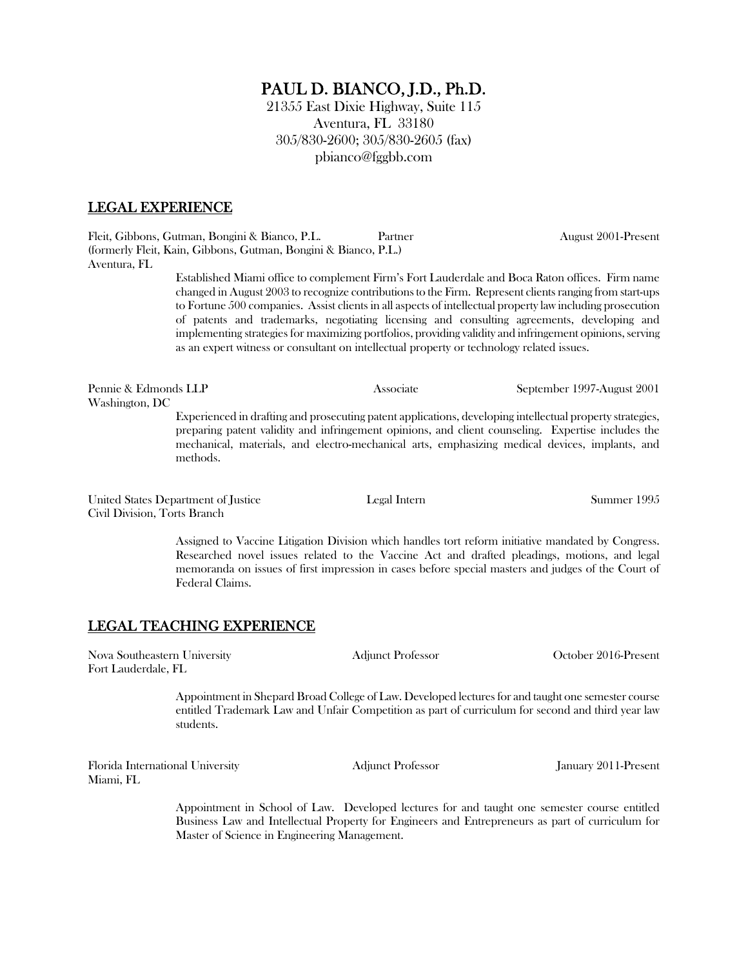# PAUL D. BIANCO, J.D., Ph.D.

21355 East Dixie Highway, Suite 115 Aventura, FL 33180 305/830-2600; 305/830-2605 (fax) pbianco@fggbb.com

#### LEGAL EXPERIENCE

Fleit, Gibbons, Gutman, Bongini & Bianco, P.L. Partner August 2001-Present (formerly Fleit, Kain, Gibbons, Gutman, Bongini & Bianco, P.L.) Aventura, FL

> Established Miami office to complement Firm's Fort Lauderdale and Boca Raton offices. Firm name changed in August 2003 to recognize contributions to the Firm. Represent clients ranging from start-ups to Fortune 500 companies. Assist clients in all aspects of intellectual property law including prosecution of patents and trademarks, negotiating licensing and consulting agreements, developing and implementing strategies for maximizing portfolios, providing validity and infringement opinions, serving as an expert witness or consultant on intellectual property or technology related issues.

Pennie & Edmonds LLP Associate September 1997-August 2001 Washington, DC

Experienced in drafting and prosecuting patent applications, developing intellectual property strategies, preparing patent validity and infringement opinions, and client counseling. Expertise includes the mechanical, materials, and electro-mechanical arts, emphasizing medical devices, implants, and methods.

United States Department of Justice Legal Intern Summer 1995 Civil Division, Torts Branch

Assigned to Vaccine Litigation Division which handles tort reform initiative mandated by Congress. Researched novel issues related to the Vaccine Act and drafted pleadings, motions, and legal memoranda on issues of first impression in cases before special masters and judges of the Court of Federal Claims.

## LEGAL TEACHING EXPERIENCE

Nova Southeastern University Adjunct Professor October 2016-Present Fort Lauderdale, FL

> Appointment in Shepard Broad College of Law. Developed lectures for and taught one semester course entitled Trademark Law and Unfair Competition as part of curriculum for second and third year law students.

Florida International University Adjunct Professor January 2011-Present Miami, FL

Appointment in School of Law. Developed lectures for and taught one semester course entitled Business Law and Intellectual Property for Engineers and Entrepreneurs as part of curriculum for Master of Science in Engineering Management.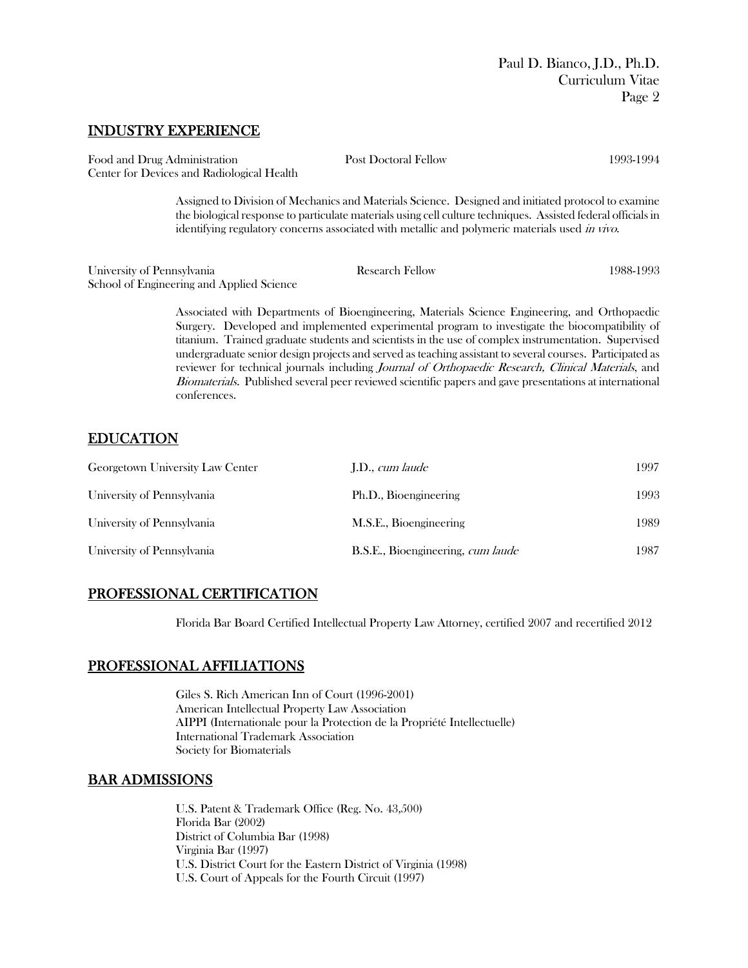#### INDUSTRY EXPERIENCE

| Food and Drug Administration<br>Center for Devices and Radiological Health | <b>Post Doctoral Fellow</b>                                                                                                                                                                                                                                                                                            | 1993-1994 |
|----------------------------------------------------------------------------|------------------------------------------------------------------------------------------------------------------------------------------------------------------------------------------------------------------------------------------------------------------------------------------------------------------------|-----------|
|                                                                            | Assigned to Division of Mechanics and Materials Science. Designed and initiated protocol to examine<br>the biological response to particulate materials using cell culture techniques. Assisted federal officials in<br>identifying regulatory concerns associated with metallic and polymeric materials used in vivo. |           |
| University of Pennsylvania<br>School of Engineering and Applied Science    | <b>Research Fellow</b>                                                                                                                                                                                                                                                                                                 | 1988-1993 |
|                                                                            | Associated with Departments of Bioengineering, Materials Science Engineering, and Orthopaedic<br>Surgery. Developed and implemented experimental program to investigate the biocompatibility of<br>titanium. Trained graduate students and scientists in the use of complex instrumentation. Supervised                |           |

 $\min$  Trained graduate students and scientists in the use of complex instrumentation. Supervised undergraduate senior design projects and served as teaching assistant to several courses. Participated as reviewer for technical journals including *Journal of Orthopaedic Research, Clinical Materials*, and Biomaterials. Published several peer reviewed scientific papers and gave presentations at international conferences.

## EDUCATION

| Georgetown University Law Center | J.D., <i>cum laude</i>            | 1997 |
|----------------------------------|-----------------------------------|------|
| University of Pennsylvania       | Ph.D., Bioengineering             | 1993 |
| University of Pennsylvania       | M.S.E., Bioengineering            | 1989 |
| University of Pennsylvania       | B.S.E., Bioengineering, cum laude | 1987 |

## PROFESSIONAL CERTIFICATION

Florida Bar Board Certified Intellectual Property Law Attorney, certified 2007 and recertified 2012

## PROFESSIONAL AFFILIATIONS

Giles S. Rich American Inn of Court (1996-2001) American Intellectual Property Law Association AIPPI (Internationale pour la Protection de la Propriété Intellectuelle) International Trademark Association Society for Biomaterials

# BAR ADMISSIONS

U.S. Patent & Trademark Office (Reg. No. 43,500) Florida Bar (2002) District of Columbia Bar (1998) Virginia Bar (1997) U.S. District Court for the Eastern District of Virginia (1998) U.S. Court of Appeals for the Fourth Circuit (1997)